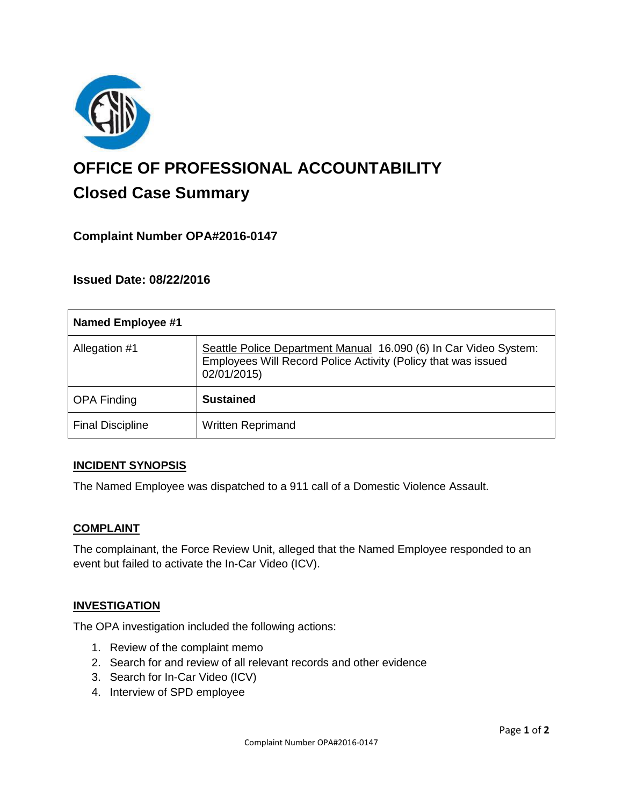

# **OFFICE OF PROFESSIONAL ACCOUNTABILITY Closed Case Summary**

## **Complaint Number OPA#2016-0147**

**Issued Date: 08/22/2016**

| <b>Named Employee #1</b> |                                                                                                                                                  |
|--------------------------|--------------------------------------------------------------------------------------------------------------------------------------------------|
| Allegation #1            | Seattle Police Department Manual 16.090 (6) In Car Video System:<br>Employees Will Record Police Activity (Policy that was issued<br>02/01/2015) |
| <b>OPA Finding</b>       | <b>Sustained</b>                                                                                                                                 |
| <b>Final Discipline</b>  | <b>Written Reprimand</b>                                                                                                                         |

### **INCIDENT SYNOPSIS**

The Named Employee was dispatched to a 911 call of a Domestic Violence Assault.

#### **COMPLAINT**

The complainant, the Force Review Unit, alleged that the Named Employee responded to an event but failed to activate the In-Car Video (ICV).

### **INVESTIGATION**

The OPA investigation included the following actions:

- 1. Review of the complaint memo
- 2. Search for and review of all relevant records and other evidence
- 3. Search for In-Car Video (ICV)
- 4. Interview of SPD employee